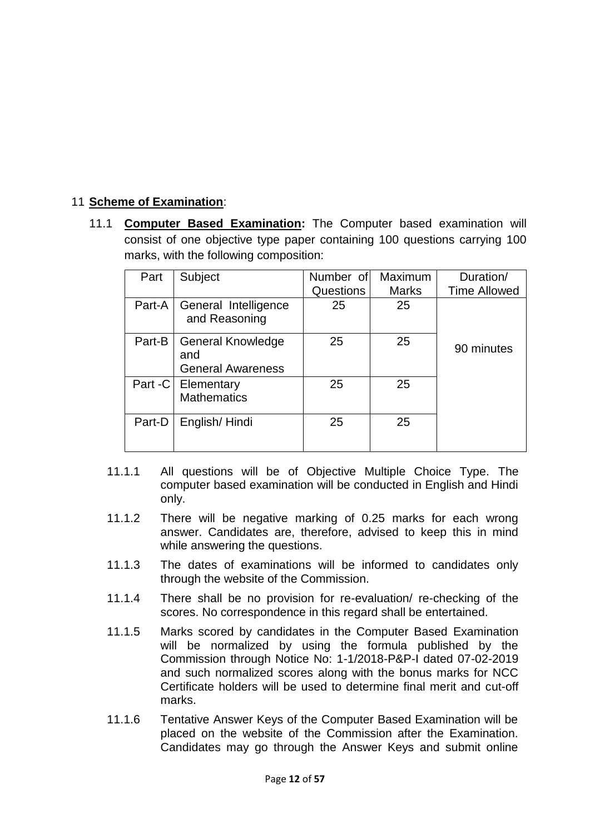## 11 **Scheme of Examination**:

11.1 **Computer Based Examination:** The Computer based examination will [consist of one objective type paper containing 100 questions carrying 100](https://t.me/gorojgar)  marks, with the following composition:

| Part   | Subject                                                     | Number of<br>Questions | Maximum<br><b>Marks</b> | Duration/<br><b>Time Allowed</b> |
|--------|-------------------------------------------------------------|------------------------|-------------------------|----------------------------------|
| Part-A | General Intelligence<br>and Reasoning                       | 25                     | 25                      |                                  |
| Part-B | <b>General Knowledge</b><br>and<br><b>General Awareness</b> | 25                     | 25                      | 90 minutes                       |
|        | Part -C   Elementary<br><b>Mathematics</b>                  | 25                     | 25                      |                                  |
| Part-D | English/Hindi                                               | 25                     | 25                      |                                  |

- 11.1.1 All questions will be of Objective Multiple Choice Type. The computer based examination will be conducted in English and Hindi only.
- 11.1.2 There will be negative marking of 0.25 marks for each wrong answer. Candidates are, therefore, advised to keep this in mind while answering the questions.
- 11.1.3 The dates of examinations will be informed to candidates only through the website of the Commission.
- 11.1.4 There shall be no provision for re-evaluation/ re-checking of the scores. No correspondence in this regard shall be entertained.
- 11.1.5 Marks scored by candidates in the Computer Based Examination will be normalized by using the formula published by the Commission through Notice No: 1-1/2018-P&P-I dated 07-02-2019 and such normalized scores along with the bonus marks for NCC Certificate holders will be used to determine final merit and cut-off marks.
- 11.1.6 Tentative Answer Keys of the Computer Based Examination will be placed on the website of the Commission after the Examination. Candidates may go through the Answer Keys and submit online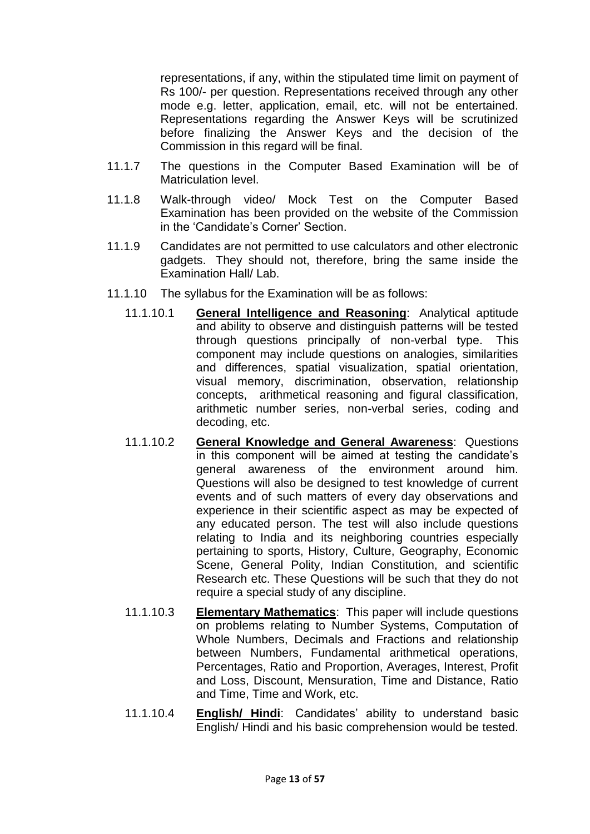representations, if any, within the stipulated time limit on payment of Rs 100/- per question. Representations received through any other mode e.g. letter, application, email, etc. will not be entertained. Representations regarding the Answer Keys will be scrutinized [before finalizing the Answer Keys and the decision of the](https://t.me/gorojgar)  Commission in this regard will be final.

- 11.1.7 The questions in the Computer Based Examination will be of Matriculation level.
- 11.1.8 Walk-through video/ Mock Test on the Computer Based Examination has been provided on the website of the Commission in the 'Candidate's Corner' Section.
- 11.1.9 Candidates are not permitted to use calculators and other electronic gadgets. They should not, therefore, bring the same inside the Examination Hall/ Lab.
- 11.1.10 The syllabus for the Examination will be as follows:
	- 11.1.10.1 **General Intelligence and Reasoning**: Analytical aptitude and ability to observe and distinguish patterns will be tested through questions principally of non-verbal type. This component may include questions on analogies, similarities and differences, spatial visualization, spatial orientation, visual memory, discrimination, observation, relationship concepts, arithmetical reasoning and figural classification, arithmetic number series, non-verbal series, coding and decoding, etc.
	- 11.1.10.2 **General Knowledge and General Awareness**: Questions in this component will be aimed at testing the candidate's general awareness of the environment around him. Questions will also be designed to test knowledge of current events and of such matters of every day observations and experience in their scientific aspect as may be expected of any educated person. The test will also include questions relating to India and its neighboring countries especially pertaining to sports, History, Culture, Geography, Economic Scene, General Polity, Indian Constitution, and scientific Research etc. These Questions will be such that they do not require a special study of any discipline.
	- 11.1.10.3 **Elementary Mathematics**: This paper will include questions on problems relating to Number Systems, Computation of Whole Numbers, Decimals and Fractions and relationship between Numbers, Fundamental arithmetical operations, Percentages, Ratio and Proportion, Averages, Interest, Profit and Loss, Discount, Mensuration, Time and Distance, Ratio and Time, Time and Work, etc.
	- 11.1.10.4 **English/ Hindi**: Candidates' ability to understand basic English/ Hindi and his basic comprehension would be tested.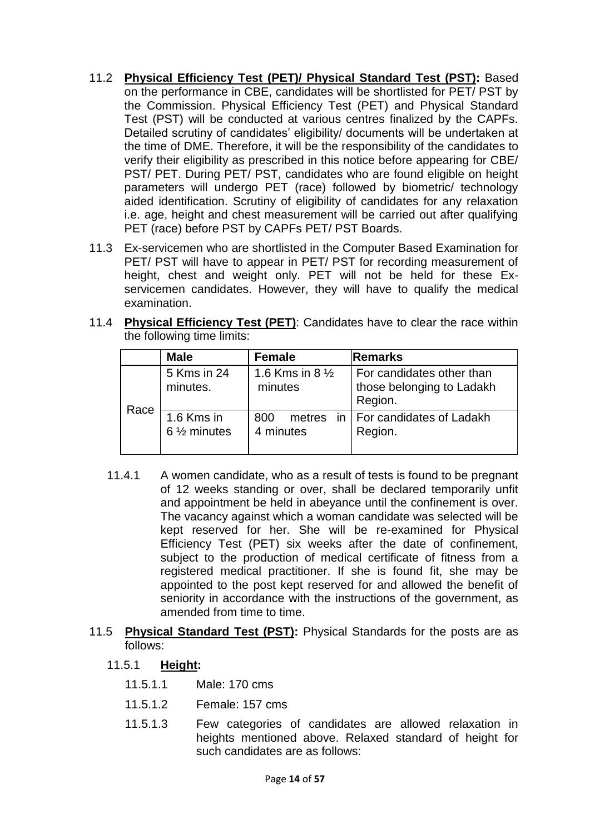- 11.2 **Physical Efficiency Test (PET)/ Physical Standard Test (PST):** Based on the performance in CBE, candidates will be shortlisted for PET/ PST by the Commission. Physical Efficiency Test (PET) and Physical Standard Test (PST) will be conducted at various centres finalized by the CAPFs. Detailed scrutiny of candidates' eligibility/ documents will be undertaken at the time of DME. Therefore, it will be the responsibility of the candidates to verify their eligibility as prescribed in this notice before appearing for CBE/ PST/ PET. During PET/ PST, candidates who are found eligible on height parameters will undergo PET (race) followed by biometric/ technology aided identification. Scrutiny of eligibility of candidates for any relaxation i.e. age, height and chest measurement will be carried out after qualifying PET (race) before PST by CAPFs PET/ PST Boards.
- 11.3 [Ex-servicemen who are shortlisted in the Computer Based Examination for](https://t.me/gorojgar)  PET/ PST will have to appear in PET/ PST for recording measurement of height, chest and weight only. PET will not be held for these Exservicemen candidates. However, they will have to qualify the medical examination.
- 11.4 **Physical Efficiency Test (PET)**: Candidates have to clear the race within the following time limits:

|      | <b>Male</b>                          | <b>Female</b>                         | Remarks                                                           |
|------|--------------------------------------|---------------------------------------|-------------------------------------------------------------------|
| Race | 5 Kms in 24<br>minutes.              | 1.6 Kms in 8 $\frac{1}{2}$<br>minutes | For candidates other than<br>those belonging to Ladakh<br>Region. |
|      | 1.6 Kms in<br>$6\frac{1}{2}$ minutes | 800<br>4 minutes                      | metres in   For candidates of Ladakh<br>Region.                   |

- 11.4.1 A women candidate, who as a result of tests is found to be pregnant of 12 weeks standing or over, shall be declared temporarily unfit and appointment be held in abeyance until the confinement is over. The vacancy against which a woman candidate was selected will be kept reserved for her. She will be re-examined for Physical Efficiency Test (PET) six weeks after the date of confinement, subject to the production of medical certificate of fitness from a registered medical practitioner. If she is found fit, she may be appointed to the post kept reserved for and allowed the benefit of seniority in accordance with the instructions of the government, as amended from time to time.
- 11.5 **Physical Standard Test (PST):** Physical Standards for the posts are as follows:
	- 11.5.1 **Height:** 
		- 11.5.1.1 Male: 170 cms
		- 11.5.1.2 Female: 157 cms
		- 11.5.1.3 Few categories of candidates are allowed relaxation in heights mentioned above. Relaxed standard of height for such candidates are as follows: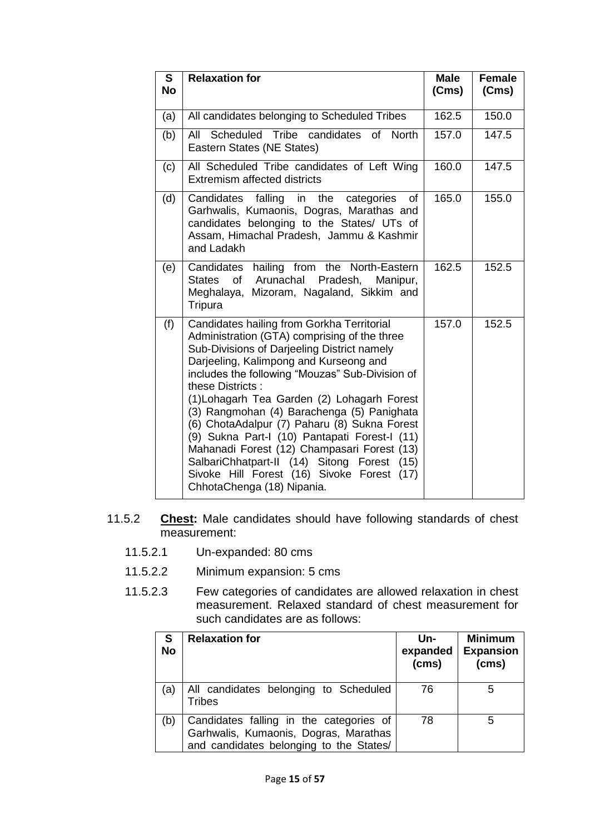| $\overline{\mathbf{s}}$<br><b>No</b> | <b>Relaxation for</b>                                                                                                                                                                                                                                                                                                                                                                                                                                                                                                                                                                                                                 | <b>Male</b><br>(Cms) | <b>Female</b><br>(Cms) |
|--------------------------------------|---------------------------------------------------------------------------------------------------------------------------------------------------------------------------------------------------------------------------------------------------------------------------------------------------------------------------------------------------------------------------------------------------------------------------------------------------------------------------------------------------------------------------------------------------------------------------------------------------------------------------------------|----------------------|------------------------|
| (a)                                  | All candidates belonging to Scheduled Tribes                                                                                                                                                                                                                                                                                                                                                                                                                                                                                                                                                                                          | 162.5                | 150.0                  |
| (b)                                  | All Scheduled Tribe candidates of North<br>Eastern States (NE States)                                                                                                                                                                                                                                                                                                                                                                                                                                                                                                                                                                 | 157.0                | 147.5                  |
| (c)                                  | All Scheduled Tribe candidates of Left Wing<br><b>Extremism affected districts</b>                                                                                                                                                                                                                                                                                                                                                                                                                                                                                                                                                    | 160.0                | 147.5                  |
| (d)                                  | falling in<br>Candidates<br>the<br>categories<br>οf<br>Garhwalis, Kumaonis, Dogras, Marathas and<br>candidates belonging to the States/ UTs of<br>Assam, Himachal Pradesh, Jammu & Kashmir<br>and Ladakh                                                                                                                                                                                                                                                                                                                                                                                                                              | 165.0                | 155.0                  |
| (e)                                  | Candidates hailing from the North-Eastern<br>States of Arunachal Pradesh, Manipur,<br>Meghalaya, Mizoram, Nagaland, Sikkim and<br>Tripura                                                                                                                                                                                                                                                                                                                                                                                                                                                                                             | 162.5                | 152.5                  |
| (f)                                  | Candidates hailing from Gorkha Territorial<br>Administration (GTA) comprising of the three<br>Sub-Divisions of Darjeeling District namely<br>Darjeeling, Kalimpong and Kurseong and<br>includes the following "Mouzas" Sub-Division of<br>these Districts:<br>(1) Lohagarh Tea Garden (2) Lohagarh Forest<br>(3) Rangmohan (4) Barachenga (5) Panighata<br>(6) ChotaAdalpur (7) Paharu (8) Sukna Forest<br>(9) Sukna Part-I (10) Pantapati Forest-I (11)<br>Mahanadi Forest (12) Champasari Forest (13)<br>SalbariChhatpart-II (14) Sitong Forest<br>(15)<br>Sivoke Hill Forest (16) Sivoke Forest (17)<br>ChhotaChenga (18) Nipania. | 157.0                | 152.5                  |

- 11.5.2 **Chest:** Male candidates should have following standards of chest measurement:
	- 11.5.2.1 Un-expanded: 80 cms
	- 11.5.2.2 Minimum expansion: 5 cms
	- 11.5.2.3 [Few categories of candidates are allowed relaxation in chest](https://t.me/gorojgar)  measurement. Relaxed standard of chest measurement for such candidates are as follows:

| S<br><b>No</b> | <b>Relaxation for</b>                                                                                                       | Un-<br>expanded<br>(cms) | <b>Minimum</b><br><b>Expansion</b><br>(cms) |
|----------------|-----------------------------------------------------------------------------------------------------------------------------|--------------------------|---------------------------------------------|
| (a)            | All candidates belonging to Scheduled<br>Tribes                                                                             | 76                       | 5                                           |
| (b)            | Candidates falling in the categories of<br>Garhwalis, Kumaonis, Dogras, Marathas<br>and candidates belonging to the States/ | 78                       | 5                                           |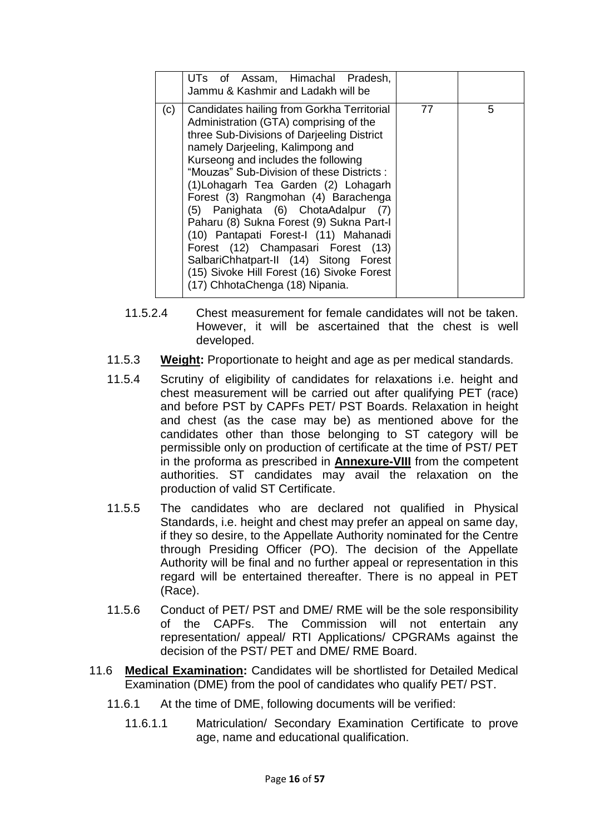|     | UTs of Assam, Himachal Pradesh,<br>Jammu & Kashmir and Ladakh will be                                                                                                                                                                                                                                                                                                                                                                                                                                                                                                                                                                 |    |   |
|-----|---------------------------------------------------------------------------------------------------------------------------------------------------------------------------------------------------------------------------------------------------------------------------------------------------------------------------------------------------------------------------------------------------------------------------------------------------------------------------------------------------------------------------------------------------------------------------------------------------------------------------------------|----|---|
| (c) | Candidates hailing from Gorkha Territorial<br>Administration (GTA) comprising of the<br>three Sub-Divisions of Darjeeling District<br>namely Darjeeling, Kalimpong and<br>Kurseong and includes the following<br>"Mouzas" Sub-Division of these Districts:<br>(1) Lohagarh Tea Garden (2) Lohagarh<br>Forest (3) Rangmohan (4) Barachenga<br>(5) Panighata (6) ChotaAdalpur (7)<br>Paharu (8) Sukna Forest (9) Sukna Part-I<br>(10) Pantapati Forest-I (11) Mahanadi<br>Forest (12) Champasari Forest (13)<br>SalbariChhatpart-II (14) Sitong Forest<br>(15) Sivoke Hill Forest (16) Sivoke Forest<br>(17) ChhotaChenga (18) Nipania. | 77 | 5 |

- 11.5.2.4 Chest measurement for female candidates will not be taken. However, it will be ascertained that the chest is well developed.
- 11.5.3 **Weight:** Proportionate to height and age as per medical standards.
- 11.5.4 Scrutiny of eligibility of candidates for relaxations i.e. height and chest measurement will be carried out after qualifying PET (race) and before PST by CAPFs PET/ PST Boards. Relaxation in height and chest (as the case may be) as mentioned above for the candidates other than those belonging to ST category will be permissible only on production of certificate at the time of PST/ PET in the proforma as prescribed in **Annexure-VIII** from the competent authorities. ST candidates may avail the relaxation on the production of valid ST Certificate.
- 11.5.5 The candidates who are declared not qualified in Physical Standards, i.e. height and chest may prefer an appeal on same day, if they so desire, to the Appellate Authority nominated for the Centre through Presiding Officer (PO). The decision of the Appellate Authority will be final and no further appeal or representation in this regard will be entertained thereafter. There is no appeal in PET (Race).
- 11.5.6 Conduct of PET/ PST and DME/ RME will be the sole responsibility of the CAPFs. The Commission will not entertain any representation/ appeal/ RTI Applications/ CPGRAMs against the decision of the PST/ PET and DME/ RME Board.
- 11.6 **Medical Examination:** Candidates will be shortlisted for Detailed Medical [Examination \(DME\) from the pool of candidates who qualify PET/ PST.](https://t.me/gorojgar) 
	- 11.6.1 At the time of DME, following documents will be verified:
		- 11.6.1.1 Matriculation/ Secondary Examination Certificate to prove age, name and educational qualification.